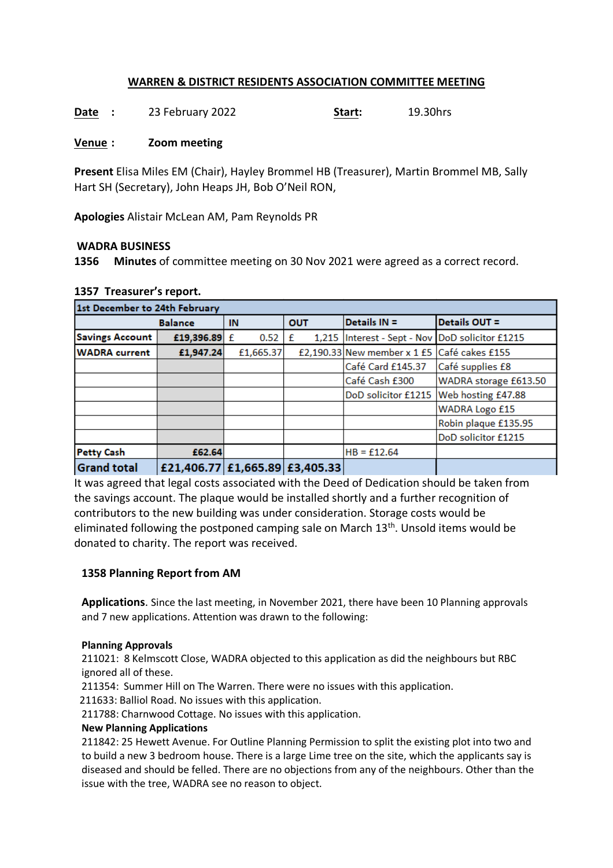# **WARREN & DISTRICT RESIDENTS ASSOCIATION COMMITTEE MEETING**

**Date :** 23 February 2022 **Start:** 19.30hrs

#### **Venue : Zoom meeting**

**Present** Elisa Miles EM (Chair), Hayley Brommel HB (Treasurer), Martin Brommel MB, Sally Hart SH (Secretary), John Heaps JH, Bob O'Neil RON,

**Apologies** Alistair McLean AM, Pam Reynolds PR

#### **WADRA BUSINESS**

**1356 Minutes** of committee meeting on 30 Nov 2021 were agreed as a correct record.

| 1st December to 24th February |                                |           |            |                                                     |                                        |  |  |  |  |
|-------------------------------|--------------------------------|-----------|------------|-----------------------------------------------------|----------------------------------------|--|--|--|--|
| <b>Balance</b>                |                                | IN        | <b>OUT</b> | Details IN =                                        | Details OUT =                          |  |  |  |  |
| <b>Savings Account</b>        | £19,396.89 £                   | 0.52      | £          | 1,215   Interest - Sept - Nov   DoD solicitor £1215 |                                        |  |  |  |  |
| <b>WADRA</b> current          | £1,947.24                      | £1,665.37 |            | £2,190.33 New member x 1 £5 Café cakes £155         |                                        |  |  |  |  |
|                               |                                |           |            | Café Card £145.37                                   | Café supplies £8                       |  |  |  |  |
|                               |                                |           |            | Café Cash £300                                      | WADRA storage £613.50                  |  |  |  |  |
|                               |                                |           |            |                                                     | DoD solicitor £1215 Web hosting £47.88 |  |  |  |  |
|                               |                                |           |            |                                                     | <b>WADRA Logo £15</b>                  |  |  |  |  |
|                               |                                |           |            |                                                     | Robin plaque £135.95                   |  |  |  |  |
|                               |                                |           |            |                                                     | DoD solicitor £1215                    |  |  |  |  |
| <b>Petty Cash</b>             | £62.64                         |           |            | $HB = £12.64$                                       |                                        |  |  |  |  |
| <b>Grand total</b>            | £21,406.77 £1,665.89 £3,405.33 |           |            |                                                     |                                        |  |  |  |  |

### **1357 Treasurer's report.**

It was agreed that legal costs associated with the Deed of Dedication should be taken from the savings account. The plaque would be installed shortly and a further recognition of contributors to the new building was under consideration. Storage costs would be eliminated following the postponed camping sale on March  $13<sup>th</sup>$ . Unsold items would be donated to charity. The report was received.

#### **1358 Planning Report from AM**

**Applications**. Since the last meeting, in November 2021, there have been 10 Planning approvals and 7 new applications. Attention was drawn to the following:

#### **Planning Approvals**

211021: 8 Kelmscott Close, WADRA objected to this application as did the neighbours but RBC ignored all of these.

211354: Summer Hill on The Warren. There were no issues with this application.

211633: Balliol Road. No issues with this application.

211788: Charnwood Cottage. No issues with this application.

#### **New Planning Applications**

211842: 25 Hewett Avenue. For Outline Planning Permission to split the existing plot into two and to build a new 3 bedroom house. There is a large Lime tree on the site, which the applicants say is diseased and should be felled. There are no objections from any of the neighbours. Other than the issue with the tree, WADRA see no reason to object.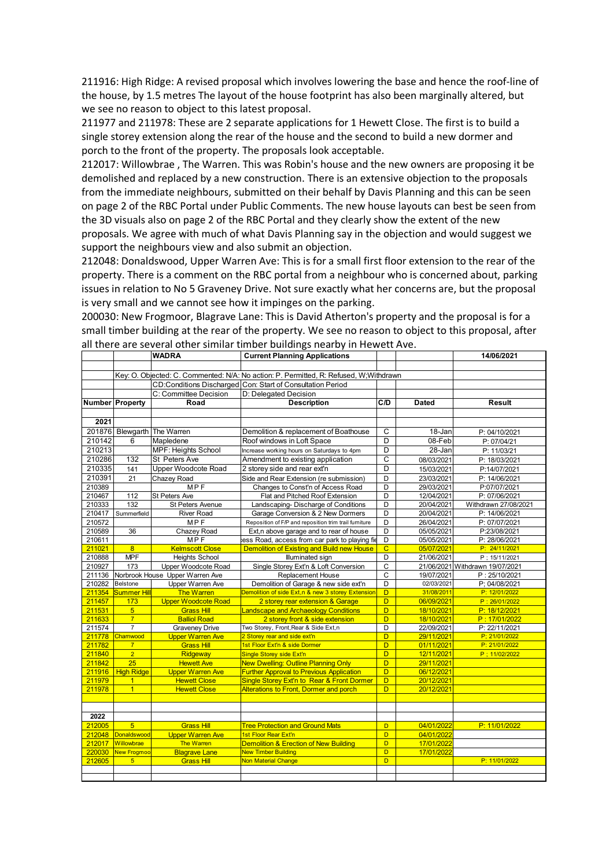211916: High Ridge: A revised proposal which involves lowering the base and hence the roof-line of the house, by 1.5 metres The layout of the house footprint has also been marginally altered, but we see no reason to object to this latest proposal.

211977 and 211978: These are 2 separate applications for 1 Hewett Close. The first is to build a single storey extension along the rear of the house and the second to build a new dormer and porch to the front of the property. The proposals look acceptable.

212017: Willowbrae , The Warren. This was Robin's house and the new owners are proposing it be demolished and replaced by a new construction. There is an extensive objection to the proposals from the immediate neighbours, submitted on their behalf by Davis Planning and this can be seen on page 2 of the RBC Portal under Public Comments. The new house layouts can best be seen from the 3D visuals also on page 2 of the RBC Portal and they clearly show the extent of the new proposals. We agree with much of what Davis Planning say in the objection and would suggest we support the neighbours view and also submit an objection.

212048: Donaldswood, Upper Warren Ave: This is for a small first floor extension to the rear of the property. There is a comment on the RBC portal from a neighbour who is concerned about, parking issues in relation to No 5 Graveney Drive. Not sure exactly what her concerns are, but the proposal is very small and we cannot see how it impinges on the parking.

200030: New Frogmoor, Blagrave Lane: This is David Atherton's property and the proposal is for a small timber building at the rear of the property. We see no reason to object to this proposal, after all there are several other similar timber buildings nearby in Hewett Ave.

|                  |                                                                                       | <b>WADRA</b>                                 | <b>Current Planning Applications</b>                          |                         |                          | 14/06/2021                      |  |  |  |  |  |
|------------------|---------------------------------------------------------------------------------------|----------------------------------------------|---------------------------------------------------------------|-------------------------|--------------------------|---------------------------------|--|--|--|--|--|
|                  |                                                                                       |                                              |                                                               |                         |                          |                                 |  |  |  |  |  |
|                  | Key: O. Objected: C. Commented: N/A: No action: P. Permitted, R: Refused, W;Withdrawn |                                              |                                                               |                         |                          |                                 |  |  |  |  |  |
|                  |                                                                                       |                                              | CD:Conditions Discharged Con: Start of Consultation Period    |                         |                          |                                 |  |  |  |  |  |
|                  |                                                                                       | C: Committee Decision                        | D: Delegated Decision                                         |                         |                          |                                 |  |  |  |  |  |
|                  | Number Property                                                                       | Road                                         | <b>Description</b>                                            | C/D                     | <b>Dated</b>             | <b>Result</b>                   |  |  |  |  |  |
|                  |                                                                                       |                                              |                                                               |                         |                          |                                 |  |  |  |  |  |
| 2021             |                                                                                       |                                              |                                                               |                         |                          |                                 |  |  |  |  |  |
|                  |                                                                                       | 201876 Blewgarth The Warren                  | Demolition & replacement of Boathouse                         | C                       | 18-Jan                   | P: 04/10/2021                   |  |  |  |  |  |
| 210142           | 6                                                                                     | Mapledene                                    | Roof windows in Loft Space                                    | D                       | 08-Feb                   | P: 07/04/21                     |  |  |  |  |  |
| 210213           |                                                                                       | <b>MPF: Heights School</b>                   | Increase working hours on Saturdays to 4pm                    | $\overline{D}$          | 28-Jan                   | P: 11/03/21                     |  |  |  |  |  |
| 210286           | 132                                                                                   | St Peters Ave                                | Amendment to existing application                             | C                       | 08/03/2021               | P: 18/03/2021                   |  |  |  |  |  |
| 210335           | 141                                                                                   | Upper Woodcote Road                          | 2 storey side and rear ext'n                                  | D                       | 15/03/2021               | P:14/07/2021                    |  |  |  |  |  |
| 210391           | 21                                                                                    | Chazey Road                                  | Side and Rear Extension (re submission)                       | D                       | 23/03/2021               | P: 14/06/2021                   |  |  |  |  |  |
| 210389           |                                                                                       | <b>MPF</b>                                   | Changes to Const'n of Access Road                             | D                       | 29/03/2021               | P:07/07/2021                    |  |  |  |  |  |
| 210467           | 112                                                                                   | St Peters Ave                                | Flat and Pitched Roof Extension                               | D                       | 12/04/2021               | P: 07/06/2021                   |  |  |  |  |  |
| 210333           | 132                                                                                   | St Peters Avenue                             | Landscaping-Discharge of Conditions                           | D                       | 20/04/2021               | Withdrawn 27/08/2021            |  |  |  |  |  |
| 210417           | Summerfield                                                                           | <b>River Road</b>                            | Garage Conversion & 2 New Dormers                             | D                       | 20/04/2021               | P: 14/06/2021                   |  |  |  |  |  |
| 210572           |                                                                                       | <b>MPF</b>                                   | Reposition of F/P and reposition trim trail furniture         | D                       | 26/04/2021               | P: 07/07/2021                   |  |  |  |  |  |
| 210589           | 36                                                                                    | Chazey Road                                  | Ext, n above garage and to rear of house                      | $\overline{D}$          | 05/05/2021               | P:23/08/2021                    |  |  |  |  |  |
| 210611           |                                                                                       | <b>MPF</b>                                   | ess Road, access from car park to playing fie                 | D                       | 05/05/2021               | P: 28/06/2021                   |  |  |  |  |  |
| 211021           | 8                                                                                     | <b>Kelmscott Close</b>                       | Demolition of Existing and Build new House                    | $\overline{C}$          | 05/07/2021               | P: 24/11/2021                   |  |  |  |  |  |
| 210888           | <b>MPF</b>                                                                            | <b>Heights School</b>                        | <b>Illuminated</b> sign                                       | D                       | 21/06/2021               | P: 15/11/2021                   |  |  |  |  |  |
| 210927           | 173                                                                                   | Upper Woodcote Road                          | Single Storey Ext'n & Loft Conversion                         | C                       |                          | 21/06/2021 Withdrawn 19/07/2021 |  |  |  |  |  |
| 211136           |                                                                                       | Norbrook House Upper Warren Ave              | <b>Replacement House</b>                                      | C                       | 19/07/2021               | P: 25/10/2021                   |  |  |  |  |  |
| 210282           | <b>Belstone</b>                                                                       | Upper Warren Ave                             | Demolition of Garage & new side ext'n                         | D                       | 02/03/2021               | P; 04/08/2021                   |  |  |  |  |  |
| 211354           | Summer Hill                                                                           | <b>The Warren</b>                            | Demolition of side Ext, n & new 3 storey Extension            | D                       | 31/08/2011               | P: 12/01/2022                   |  |  |  |  |  |
| 211457           | 173                                                                                   | <b>Upper Woodcote Road</b>                   | 2 storey rear extension & Garage                              | D                       | 06/09/2021               | P: 26/01/2022                   |  |  |  |  |  |
| 211531           | 5 <sub>5</sub>                                                                        | <b>Grass Hill</b>                            | <b>Landscape and Archaeology Conditions</b>                   | D                       | 18/10/2021               | P: 18/12/2021                   |  |  |  |  |  |
| 211633           | $\overline{7}$                                                                        | <b>Balliol Road</b>                          | 2 storey front & side extension                               | $\overline{\mathsf{D}}$ | 18/10/2021               | P: 17/01/2022                   |  |  |  |  |  |
| 211574           | $\overline{7}$                                                                        | <b>Graveney Drive</b>                        | Two Storey, Front, Rear & Side Ext, n                         | D<br>D                  | 22/09/2021               | P: 22/11/2021                   |  |  |  |  |  |
| 211778<br>211782 | Charnwood<br>$\overline{7}$                                                           | <b>Upper Warren Ave</b><br><b>Grass Hill</b> | 2 Storey rear and side ext'n<br>1st Floor Ext'n & side Dormer | D                       | 29/11/2021<br>01/11/2021 | P: 21/01/2022<br>P: 21/01/2022  |  |  |  |  |  |
| 211840           | $\overline{2}$                                                                        | Ridgeway                                     | <b>Single Storey side Ext'n</b>                               | D                       | 12/11/2021               | P: 11/02/2022                   |  |  |  |  |  |
| 211842           | 25                                                                                    | <b>Hewett Ave</b>                            | New Dwelling: Outline Planning Only                           | D                       | 29/11/2021               |                                 |  |  |  |  |  |
| 211916           | <b>High Ridge</b>                                                                     | <b>Upper Warren Ave</b>                      | <b>Further Approval to Previous Application</b>               | D                       | 06/12/2021               |                                 |  |  |  |  |  |
| 211979           | $\overline{1}$                                                                        | <b>Hewett Close</b>                          | Single Storey Ext'n to Rear & Front Dormer                    | D                       | 20/12/2021               |                                 |  |  |  |  |  |
| 211978           | $\mathbf{1}$                                                                          | <b>Hewett Close</b>                          | Alterations to Front, Dormer and porch                        | D                       | 20/12/2021               |                                 |  |  |  |  |  |
|                  |                                                                                       |                                              |                                                               |                         |                          |                                 |  |  |  |  |  |
|                  |                                                                                       |                                              |                                                               |                         |                          |                                 |  |  |  |  |  |
| 2022             |                                                                                       |                                              |                                                               |                         |                          |                                 |  |  |  |  |  |
| 212005           | $\overline{5}$                                                                        | <b>Grass Hill</b>                            | <b>Tree Protection and Ground Mats</b>                        | D                       | 04/01/2022               | P: 11/01/2022                   |  |  |  |  |  |
| 212048           | Donaldswood                                                                           | <b>Upper Warren Ave</b>                      | 1st Floor Rear Ext'n                                          | D                       | 04/01/2022               |                                 |  |  |  |  |  |
| 212017           | Willowbrae                                                                            | The Warren                                   | Demolition & Erection of New Building                         | D                       | 17/01/2022               |                                 |  |  |  |  |  |
| 220030           | <b>New Frogmoo</b>                                                                    | <b>Blagrave Lane</b>                         | <b>New Timber Building</b>                                    | $\overline{D}$          | 17/01/2022               |                                 |  |  |  |  |  |
| 212605           | $5\overline{)}$                                                                       | <b>Grass Hill</b>                            | Non Material Change                                           | D                       |                          | P: 11/01/2022                   |  |  |  |  |  |
|                  |                                                                                       |                                              |                                                               |                         |                          |                                 |  |  |  |  |  |
|                  |                                                                                       |                                              |                                                               |                         |                          |                                 |  |  |  |  |  |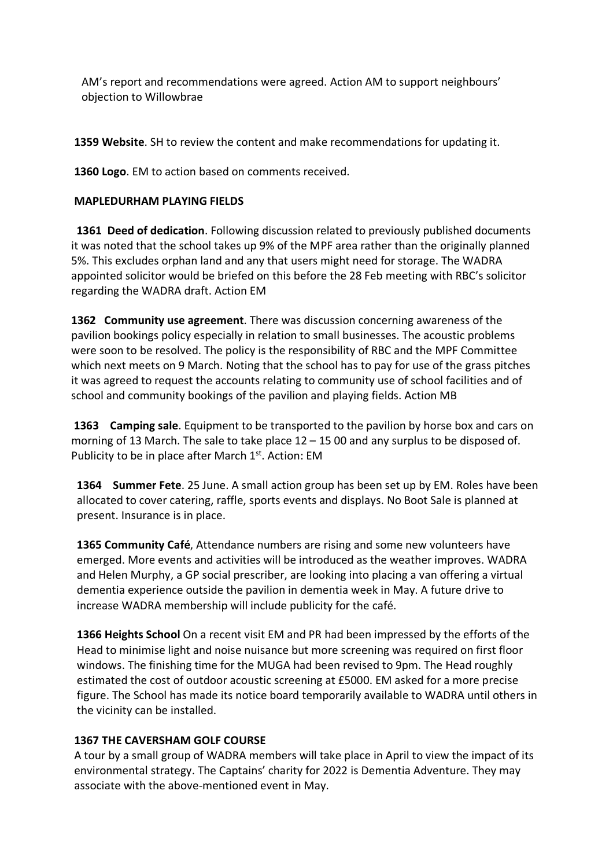AM's report and recommendations were agreed. Action AM to support neighbours' objection to Willowbrae

**1359 Website**. SH to review the content and make recommendations for updating it.

**1360 Logo**. EM to action based on comments received.

### **MAPLEDURHAM PLAYING FIELDS**

 **1361 Deed of dedication**. Following discussion related to previously published documents it was noted that the school takes up 9% of the MPF area rather than the originally planned 5%. This excludes orphan land and any that users might need for storage. The WADRA appointed solicitor would be briefed on this before the 28 Feb meeting with RBC's solicitor regarding the WADRA draft. Action EM

**1362 Community use agreement**. There was discussion concerning awareness of the pavilion bookings policy especially in relation to small businesses. The acoustic problems were soon to be resolved. The policy is the responsibility of RBC and the MPF Committee which next meets on 9 March. Noting that the school has to pay for use of the grass pitches it was agreed to request the accounts relating to community use of school facilities and of school and community bookings of the pavilion and playing fields. Action MB

**1363 Camping sale**. Equipment to be transported to the pavilion by horse box and cars on morning of 13 March. The sale to take place  $12 - 1500$  and any surplus to be disposed of. Publicity to be in place after March 1st. Action: EM

**1364 Summer Fete**. 25 June. A small action group has been set up by EM. Roles have been allocated to cover catering, raffle, sports events and displays. No Boot Sale is planned at present. Insurance is in place.

**1365 Community Café**, Attendance numbers are rising and some new volunteers have emerged. More events and activities will be introduced as the weather improves. WADRA and Helen Murphy, a GP social prescriber, are looking into placing a van offering a virtual dementia experience outside the pavilion in dementia week in May. A future drive to increase WADRA membership will include publicity for the café.

**1366 Heights School** On a recent visit EM and PR had been impressed by the efforts of the Head to minimise light and noise nuisance but more screening was required on first floor windows. The finishing time for the MUGA had been revised to 9pm. The Head roughly estimated the cost of outdoor acoustic screening at £5000. EM asked for a more precise figure. The School has made its notice board temporarily available to WADRA until others in the vicinity can be installed.

# **1367 THE CAVERSHAM GOLF COURSE**

A tour by a small group of WADRA members will take place in April to view the impact of its environmental strategy. The Captains' charity for 2022 is Dementia Adventure. They may associate with the above-mentioned event in May.